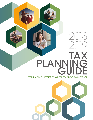# TAX GUIDE PLANNING 2018 2019

# YEAR-ROUND STRATEGIES TO MAKE THE TAX LAWS WORK FOR YOU

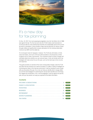

# It's a new day for tax planning

On Dec. 22, 2017, the most sweeping tax legislation since the Tax Reform Act of 1986 was signed into law. The Tax Cuts and Jobs Act (TCJA) makes small reductions to income tax rates for most individual tax brackets and substantially reduces the income tax rate for corporations. It also provides a large new tax deduction for owners of passthrough entities and significantly increases exemptions for the individual alternative minimum tax (AMT) and the estate tax.

It's not all good news for taxpayers, however. The TCJA also eliminates or limits many tax breaks, and much of the tax relief provided is only temporary (unless Congress acts to make it permanent). The combined impact of these changes will ultimately determine whether you see reduced taxes. It also will dictate which tax strategies will make sense for you this year, such as the best way to time income and expenses.

This guide provides an overview of the most consequential changes under the TCJA and other key tax provisions you need to be aware of. It offers a variety of strategies for minimizing your taxes in the new tax environment. It will be important to work closely with your tax advisor this year. He or she can help you identify which changes affect you and the best strategies for maximizing the new tax law's benefits and minimizing any negative tax ramifications. Plus, more tax legislation could be signed into law this year, and your tax advisor can keep you apprised of the latest information.

# **Contents**

|   | <b>Click here</b> |
|---|-------------------|
|   | <b>Click here</b> |
|   | <b>Click here</b> |
| 8 | <b>Click here</b> |
|   | <b>Click here</b> |
|   | <b>Click here</b> |
|   | <b>Click here</b> |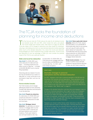

# The TCJA rocks the foundation of planning for income and deductions

 $\prod_{\text{real}}$ he Tax Cuts and Jobs Act (TCJA) reduces the rates for all individual income tax brackets except 10% and 35%, which remain the same, and adjusts the income ranges each bracket covers. (See Chart 5 on page 16.) But the TCJA also makes a lot of changes to deductions and other breaks for individuals, reducing or eliminating some (such as many itemized deductions) while expanding others (such as the standard deduction). As a result, the income and deduction timing strategies you used to implement may no longer make sense. To time income and deductions to your tax advantage in 2018, you must consider the potential impact of the TCJA on your particular situation.

#### State and local tax deduction

*New limits!* For 2018–2025, your entire deduction for state and local taxes — including property tax and either income or sales tax — is limited to \$10,000 (\$5,000 if you're married filing separately).

Deducting sales tax instead of income tax may be beneficial if you reside in a state with no, or low, income tax or you purchased a major item, such as a car or boat.

#### Home-related breaks

The TCJA includes a lot of changes affecting tax breaks for home ownership. Consider both deductions and exclusions in your tax planning:

#### *New limits!* Property tax deduction.

As noted above, for 2018–2025 your property tax deduction is subject to the new limit on deductions for state and local taxes.

#### *New limits!* Mortgage interest

deduction. You generally can deduct interest on mortgage debt incurred to purchase, build or improve your principal residence and a second residence. Points paid related to your principal residence also may

be deductible. For 2018–2025, the TCJA reduces the mortgage debt limit from \$1 million to \$750,000 for debt incurred after Dec. 15, 2017, with some limited exceptions.

*New limits!* Home equity debt interest deduction. Before the TCJA, interest was deductible on up to \$100,000 of home equity debt used for any purpose, such as to pay off credit cards (for which interest isn't deductible). The TCJA effectively limits the home equity interest deduction for 2018–2025 to debt that would qualify for the home mortgage interest deduction.

Rental income exclusion. If you rent out all or a portion of your principal residence or second home for less than 15 days, you don't have to report the

#### WHAT'S NEW!

### Dramatic changes to personal exemptions and the standard deduction

For 2017, taxpayers could claim a personal exemption of \$4,050 each for themselves, their spouses and any dependents. These exemptions could really add up for families with children and/or other dependents, such as elderly parents. For 2018–2025, the TCJA suspends personal exemptions. But increases to the child credit and a new family credit could offset this for some taxpayers. (See "What's new!" on page 4.)

Changes to the standard deduction could also help some taxpayers make up for the loss of personal exemptions. But it might not help a lot of taxpayers who typically itemize deductions. The TCJA nearly doubles the standard deductions for 2018 to \$12,000 for singles and separate filers, \$18,000 for heads of households, and \$24,000 for joint filers. (These amounts will be indexed for inflation through 2025. After that, they're scheduled to drop back to the amounts under pre-TCJA law.)

Taxpayers can choose to either itemize certain deductions or take the standard deduction based on their filing status. Itemizing deductions when the total will be larger than the standard deduction saves tax, but it makes filing more complicated. The combination of a higher standard deduction and the reduction or elimination of many itemized deductions will mean that some taxpayers who once benefited from itemizing will now be better off taking the standard deduction.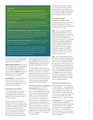#### WHAT'S NEW!

#### Other individual deductions affected by the TCJA

In addition to the deduction changes impacting many home-related expenses, charitable donations and medical expenses discussed elsewhere in this section, the TCJA limits or eliminates other deductions that are valuable to many individual taxpayers:

Moving expenses. This deduction for work-related moving expenses is suspended for 2018–2025, except for active-duty members of the Armed Forces (and their spouses or dependents) who move because of a military order that calls for a permanent change of station.

Miscellaneous itemized deductions subject to the 2% floor. This deduction for expenses such as certain professional fees, investment expenses and unreimbursed employee business expenses is suspended for 2018–2025. If you're an employee and work from home, this includes the home office deduction. (If you're self-employed, see page 11.)

Personal casualty and theft loss deduction. For 2018–2025, this itemized deduction is suspended except if the loss was due to an event officially declared a disaster by the President.

But it's not all bad news for tax deductions. Under pre-TCJA law, if your adjusted gross income (AGI) exceeded the applicable threshold, certain itemized deductions were reduced by 3% of the AGI amount over the threshold (not to exceed 80% of otherwise allowable deductions). For 2018–2025, the TCJA suspends this reduction.

income. But expenses directly associated with the rental, such as advertising and cleaning, won't be deductible.

Home sale gain exclusion. When you sell your principal residence, you can exclude up to \$250,000 of gain (\$500,000 for married couples filing jointly) if you meet certain tests. *Warning:* Gain that's allocable to a period of "nonqualified" use generally isn't excludable.

Loss deduction. If you sell your home at a loss and part of your home is rented out or used exclusively for your business, the loss attributable to that portion may be deductible.

#### Charitable donations

If you itemize deductions, donations to qualified charities are generally fully deductible. And they may be the easiest deductible expense to time to your tax advantage.

However, because of the increased standard deduction (see "What's new!" on page 2), even if you typically itemized in the past, for 2018 you may be better off taking the standard deduction in which case you won't get a federal income tax benefit from charitable gifts. Instead, you might benefit from "bunching" donations into alternating

years and itemizing just in those years. But tax legislation has been proposed that would allow nonitemizers to deduct charitable donations. Check with your tax advisor for the latest information.

For large donations, discuss with your tax advisor which assets to give and the best ways to give them. For example, appreciated publicly traded stock you've held more than one year can make one of the best charitable gifts because you can deduct the current fair market value and avoid the capital gains tax you'd pay if you sold the property.

#### Medical expense deduction

*Enhancement!* Under the TCJA, if 2017 or 2018 medical expenses not paid via tax-advantaged accounts (see below) or reimbursable by insurance exceed 7.5% of your adjusted gross income (AGI), you can deduct the excess amount. The threshold had been 10%, and it's scheduled to return to 10% beginning in 2019. Eligible expenses may include health insurance premiums, long-term-care insurance premiums (limits apply), medical and dental services, and prescription drugs. Mileage driven for health care purposes also can be deducted — at 18 cents per mile for 2018.

Consider bunching elective medical procedures (and any other services and purchases whose timing you can control without negatively affecting your or your family's health) into 2018 to take advantage of the 7.5% floor.

# Tax-advantaged saving for health care

You may be able to save taxes without having to worry about the medical expense deduction floor by contributing to one of these accounts:

HSA. If you're covered by a qualified high-deductible health plan, you can contribute pretax income to an employersponsored Health Savings Account — or make deductible contributions to an HSA you set up yourself — up to \$3,450 for self-only coverage and \$6,900 for family coverage (plus \$1,000 if you're age 55 or older) for 2018. HSAs can bear interest or be invested, growing tax-deferred similar to an IRA. With drawals for qualified medical expenses are tax-free, and you can carry over a balance from year to year.

FSA. You can redirect pretax income to an employer-sponsored Flexible Spending Account up to an employer-determined limit — not to exceed \$2,650 in 2018. The plan pays or reimburses you for qual ified medical expenses. What you don't use by the plan year's end, you generally lose — though your plan might allow you to roll over up to \$500 to the next year. Or it might give you a 2½-month grace period to incur expenses to use up the previous year's contribution. If you have an HSA, your FSA is limited to funding certain "permitted" expenses.

#### Alternative minimum tax

Before timing income and deductions, consider the AMT — a separate tax sys tem that disallows some tax deductions, such as for state and local taxes, and treats certain income items differently, such as incentive stock option exercises. You must pay the AMT if your AMT liability exceeds your regular tax liability.

**Enhancement!** The TCJA substantially increases the AMT exemptions for 2018–2025. (See Chart 5 on page 16.) Combined with other TCJA changes, the result is that very few taxpayers will be at AMT risk. Your tax advisor can help you determine if you're among the small number of taxpayers who need to plan for the AMT. ❖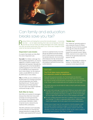

# Can family and education breaks save you tax?

Raising children and helping them pursue their educational goals — or pursuing<br>your own — can be highly rewarding. But it also can be expensive. So make<br>use that you and your family are taking advantage of the credits, ded your own — can be highly rewarding. But it also can be expensive. So make sure that you and your family are taking advantage of the credits, deductions and other tax-saving opportunities that apply to you. Some have changed for 2018 under the Tax Cuts and Jobs Act (TCJA).

#### Dependent care breaks

A couple of tax breaks can help offset the costs of dependent care:

Tax credit. For children under age 13 or other qualifying dependents, you may be eligible for a credit for a portion of your dependent care expenses. Generally, the credit equals 20% of the first \$3,000 of qualified expenses for one child or 20% of up to \$6,000 of such expenses for two or more children. So, the maximum credit is usually \$600 for one child or \$1,200 for two or more children.

FSA. For 2018, you can contribute up to \$5,000 pretax to an employer-sponsored child and dependent care Flexible Spending Account. The plan pays or reimburses you for these expenses. You can't claim a tax credit for expenses reimbursed through an FSA.

#### Roth IRAs for teens

Roth IRAs can be perfect for teenagers because they likely have many years to let their accounts grow tax-free. The 2018 annual contribution limits are the lesser of \$5,500 or 100% of earned income, reduced by any traditional IRA contributions.

Roth IRA contributions aren't deductible, but if the child earns no more than the standard deduction for singles (\$12,000 for 2018, nearly double the 2017 amount) and has no unearned income, he or she will pay zero federal income tax anyway. And if a child's earned income exceeds the standard deduction, the income likely will be taxed at a low rate. So the tax-free treatment of future qualified distributions will probably be well worth the loss of any current deduction.

#### "Kiddie tax"

The "kiddie tax" generally applies to most unearned income of children under age 19 and of full-time students under age 24 (unless the students provide more than half of their own support from earned income). Before 2018, unearned income subject to the kiddie tax was generally taxed at the parents' tax rate.

*New!* The TCJA makes the kiddie tax harsher. For 2018–2025, a child's unearned income beyond \$2,100

#### WHAT'S NEW!

# The TCJA takes away exemptions but expands credits for dependents

Along with the personal exemption, the TCJA eliminates the dependent exemption (\$4,050 per dependent for 2017) for 2018–2025. But it expands tax credits for families during that period, increasing the child credit and adding a new "family" credit for dependents who don't qualify for the child credit.

Tax credits reduce your tax bill dollar for dollar, so they're particularly valuable. Under the TCJA:

- For each child under age 17 at the end of 2018, you may be able to claim a \$2,000 credit (up from \$1,000 for 2017). The credit still phases out for higher-income taxpayers (see Chart 1 on page 5), but the income ranges are much higher than before the TCJA, so more taxpayers will benefit.
- $\blacksquare$  For each qualifying dependent other than a qualifying child (such as a dependent child age 17 or older or a dependent elderly parent), a \$500 family credit is now available. But it's also subject to the income-based phaseout.

Another piece of good news for some parents is that the adoption credit and employer adoption assistance program income exclusions, which had been proposed for elimination under previous versions of the TCJA, ultimately survived. Both are \$13,810 for 2018, but the credit is subject to an income-based phaseout. (See Chart 1 on page 5.)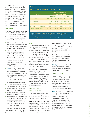(for 2018) will be taxed according to the tax brackets used for trusts and estates, which for 2018 are taxed at the highest marginal rate of 37% once taxable income exceeds \$12,500. (See Chart 7 on page 16.) In contrast, for a married couple filing jointly, the 37% rate doesn't kick in until their 2018 taxable income tops \$600,000. In other words, in many cases, children's unearned income will be taxed at *higher* rates than their parents' income.

### 529 plans

If you're saving for education expenses, consider a Section 529 plan, which the TCJA has enhanced. You can choose a prepaid tuition plan to secure current tuition rates or a tax-advantaged savings plan to fund education expenses:

- Although contributions aren't deductible for federal purposes, any growth is tax-deferred. (Some states do offer breaks for contributing.)
- <sup>n</sup> Distributions used to pay qualified postsecondary school expenses (such as tuition, mandatory fees, books, supplies, computer equipment, software, Internet service and, generally, room and board) are income-tax-free for federal purposes and typically for state purposes as well, thus making the tax deferral a permanent savings.
- **New!** The TCJA has permanently expanded qualified expenses to include elementary and secondary school tuition. Tax-free distributions for such expenses, however, are limited to \$10,000 per year per student.
- $\blacksquare$  The plans usually offer high contribution limits, and there are no income limits for contributing.
- $\blacksquare$  There's generally no beneficiary age limit for contributions or distributions.
- You can control the account, even after the child is of legal age.
- You can make tax-free rollovers to another qualifying family member.
- A special break for 529 plans allows you to front-load five years' worth of annual gift tax exclusions and make up to a \$75,000 contribution (or \$150,000 if you split the gift with your spouse) in 2018.

The biggest downsides may be that your investment options — and when you can change them — are limited.

#### CHART 1

#### Are you eligible for these 2018 tax breaks?

| Tax break                       | <b>Modified adjusted gross</b><br>income phaseout range <sup>1</sup> |                       |  |
|---------------------------------|----------------------------------------------------------------------|-----------------------|--|
|                                 | <b>Single filer</b>                                                  | <b>Joint filer</b>    |  |
| Child credit <sup>2</sup>       | $$200,000 - $240,000$                                                | $$400,000 - $440,000$ |  |
| Adoption credit                 | $$207,140 - $247,140$                                                | $$207,140 - $247,140$ |  |
| <b>ESA</b> contribution         | $$95,000 - $110,000$                                                 | $$190,000 - $220,000$ |  |
| American Opportunity credit     | $$80,000 - $90,000$                                                  | $$160,000 - $180,000$ |  |
| Lifetime Learning credit        | $$57,000 - $67,000$                                                  | $$114,000 - $134,000$ |  |
| Student loan interest deduction | $65.000 - $80.000$<br>£.                                             | $$135.000 - $165.000$ |  |

<sup>1</sup> Taxpayers whose MAGIs are within the applicable phaseout range are eligible for a *partial break — breaks generally are eliminated for those whose MAGIs exceed the top of the range.*

*2 Assumes one child. The phaseout end is higher for families with more than one eligible child.*

#### ESAs

Coverdell Education Savings Accounts are similar to 529 savings plans in that contributions aren't deductible for federal purposes, but plan assets can grow tax-deferred and distributions used to pay qualified education expenses are income-tax-free. ESAs may be worth considering if you'd like to have direct control over how and where your contributions are invested or you want to pay elementary or secondary school expenses in excess of \$10,000 or beyond tuition.

But the \$2,000 contribution limit is low, and it's phased out based on income. (See Chart 1.) Also, contributions can generally be made only for beneficiaries under age 18. Amounts left in an ESA when the beneficiary turns age 30 generally must be distributed within 30 days, and any earnings may be subject to tax and a 10% penalty.

## Education credits and deductions

If you have children in college now, are currently in school yourself or are paying off student loans, you may be eligible for a credit or deduction:

American Opportunity credit. The tax break covers 100% of the first \$2,000 of tuition and related expenses and 25% of the next \$2,000 of expenses. The maximum credit, *per student*, is \$2,500 per year for the first four years of postsecondary education.

Lifetime Learning credit. If you're paying postsecondary education expenses beyond the first four years, you may benefit from the Lifetime Learning credit (up to \$2,000 *per tax return*).

#### Student loan interest deduction.

If you're paying off student loans, you may be able to deduct the interest. The limit is \$2,500 *per tax return* .

*Warning:* Income-based phaseouts apply to these breaks. (See Chart 1.) If your income is too high for you to qualify, your child might be eligible.

#### ABLE accounts

Achieving a Better Life Experience accounts offer a tax-advantaged way to fund qualified disability expenses for a beneficiary who became blind or disabled before age 26. For federal purposes, tax treatment is similar to that of Section 529 college savings plans.

*New!* Under the TCJA, for 2018–2025, 529 plan funds can be rolled over to an ABLE account without penalty if the ABLE account is owned by the beneficiary of the 529 plan or a member of the beneficiary's family. Such rolled-over amounts count toward the overall ABLE account annual contribution limit. Aggregate contributions are generally limited to \$15,000 for 2018. ❖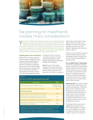

# Tax planning for investments involves many considerations

Y ou need to understand the potential tax consequences of buying, holding and selling any investment. And while the Tax Cuts and Jobs Act (TCJA) didn't change the long-term capital gains rates, its changes to ordinary-income tax rates and tax brackets will have an impact on the tax you pay on investments. But don't let tax considerations control your investment decisions. Also consider your investment goals, time horizon, risk tolerance, factors related to the investment itself, and fees and charges that apply to buying and selling securities.

## Capital gains tax and timing

Although time, not timing, is generally the key to long-term investment success, timing can have a dramatic impact on the tax consequences of investment activities. Your long-term capital gains rate can be as much as 20 percentage points lower than your ordinary-income tax rate, even with the reductions to most ordinary-income rates under the TCJA. The long-term gains rate applies

to investments held for more than 12 months and remains at 15% for middle-bracket taxpayers. A 20% long-term capital gains rate still applies to higher-income taxpayers.

*New!* Because of TCJA-related changes to the brackets, beginning in 2018 the 20% rate kicks in before the top ordinary-income rate does. (See Chart 2 and Chart 5 on page 16.)

Higher rates also still apply to certain types of assets. (See Chart 2.) But taxpayers in the bottom two brackets generally continue to enjoy a 0% long-term capital gains rate. (See Case Study I on page 7.)

Holding on to an investment until you've owned it more than a year may help substantially cut tax on any gain. Here are some other tax-saving strategies related to timing:

#### Use unrealized losses to absorb gains.

To determine capital gains tax liability, realized capital gains are netted against realized capital losses. Both long- and short-term gains and losses can offset one another. If you've cashed in some big gains during the year and want to reduce your 2018 tax liability, look for unrealized losses in your portfolio before year end and consider selling them to offset your gains.

Avoid wash sales. If you want to achieve a tax loss with minimal change in your portfolio's asset allocation, consider the wash sale rule. It prevents you from taking a loss on a security if you buy a substantially identical security (or an option to buy such a security) within 30 days before or after you sell the security that created the loss. You can recognize the loss only when you sell the replacement security.

Fortunately, there are ways to avoid triggering the wash sale rule and still achieve your goals. For example, you can immediately buy securities of a different company in the same industry or shares in a mutual fund

#### CHART 2

# What's the 2018 capital gains tax rate?

| Type of gain                                                                                          | Rate <sup>1</sup>                       |
|-------------------------------------------------------------------------------------------------------|-----------------------------------------|
| Short-term (assets held 12 months or less)                                                            | Taxpayer's ordinary-<br>income tax rate |
| Long-term (assets held more than 12 months)                                                           | 15%                                     |
| <b>Some key exceptions</b>                                                                            |                                         |
| Long-term gain of certain higher-income taxpayers                                                     | $20%$ <sup>2</sup>                      |
| Most long-term gain that would be taxed at 10% or<br>12% based on the taxpayer's ordinary-income rate | 0%                                      |
| Long-term gain on collectibles, such as artwork and antiques                                          | 28%                                     |
| Long-term gain attributable to certain recapture of prior<br>depreciation on real property            | 25%                                     |

 *In addition, the 3.8% NIIT applies to net investment income to the extent that modified adjusted gross income (MAGI) exceeds \$200,000 (singles and heads of households), \$250,000 (married filing jointly) or \$125,000 (married filing separately). The 20% rate applies to taxpayers with taxable income exceeding \$425,800 (singles),* 

*\$452,400 (heads of households), \$479,000 (joint filers) or \$239,500 (separate filers).*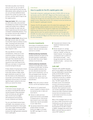that holds securities much like the ones you sold. Or, you can wait 31 days to repurchase the same security. Alternatively, before selling the security, you can purchase additional shares equal to the number you want to sell at a loss, and then wait 31 days to sell the original portion.

Swap your bonds. With a bond swap, you sell a bond, take a loss and then immediately buy another bond of similar quality and duration from a different issuer. Generally, the wash sale rule doesn't apply because the bonds aren't considered substantially identical. Thus, you achieve a tax loss with virtually no change in economic position.

Mind your mutual funds. Mutual funds with high turnover rates can create income that's taxed at ordinary-income rates. Choosing funds that provide primarily long-term gains can save you more tax dollars because of the lower long-term rates.

Also pay attention to earnings reinvestments. Unless you or your investment advisor increases your basis accordingly, you may report more gain than required when you sell the fund. Brokerage firms are required to track (and report to the IRS) your cost basis in mutual funds acquired during the tax year.

Finally, beware of buying equity mutual fund shares late in the year. Such funds often declare a large capital gains distribution at year end. If you own the shares on the distribution's record date, you'll be taxed on the full distribution amount even if it includes significant gains realized by the fund before you owned the shares.

#### Loss carryovers

If net losses exceed net gains, you can deduct only \$3,000 (\$1,500 for married taxpayers filing separately) of the net losses per year against other income (such as wages, self-employment and business income, dividends and interest).

You can carry forward excess losses until death. Loss carryovers can be a powerful tax-saving tool in future years if you have a large investment portfolio, real estate holdings or a closely held business that might generate substantial future capital gains.

#### Case Study I

#### How to qualify for the 0% capital gains rate

Faced with a long-term capital gains tax rate of 23.8% (20% for the top tax bracket, plus the 3.8% NIIT), Miguel and Pilar decide to give some appreciated stock to their adult daughter Gabby. Just out of college and making only enough from her entry-level job to leave her with \$25,000 in taxable income, Gabby falls into the 12% ordinary-income tax bracket and the 0% long-term capital gains bracket.

However, the 0% rate applies only to the extent that capital gains "fill up" the gap between Gabby's taxable income and the top end of the 0% bracket. For 2018, the 0% bracket for singles tops out at \$38,600 (just \$100 less than the top of the 12% ordinary-income bracket). So if Gabby sells the stock her parents transferred to her and her gains are \$13,600, the entire amount will qualify for the 0% rate. The sale will be tax-free vs. the \$3,237 Miguel and Pilar would have owed had they sold the stock themselves.

#### Income investments

Some types of investments produce income in the form of dividends or interest. Here are some tax consequences to consider:

#### Dividend-producing investments.

Qualified dividends are taxed at the favorable long-term capital gains tax rate rather than at your higher ordinary-income tax rate.

#### Interest-producing investments.

Interest income generally is taxed at ordinary-income rates. So stocks that pay qualified dividends may be more attractive tax-wise than other income investments, such as CDs and taxable bonds. But also consider nontax issues, such as investment risk, rate of return and diversification.

**Bonds.** These also produce interest income, but the tax treatment varies:

- Interest on U.S. government bonds is taxable on federal returns but exempt by law on state and local returns.
- Interest on state and local government bonds is excludable on federal returns. If the bonds were issued in your home state, interest also may be excludable on your state return.
- $\blacksquare$  Tax-exempt interest from certain private-activity municipal bonds can trigger or increase the AMT (see page 3) in some situations.
- $\blacksquare$  Corporate bond interest is fully taxable for federal and state purposes.
- Bonds (except U.S. savings bonds) with original issue discount build up "interest" as they rise toward maturity. You're generally considered to earn a portion of that interest annually — even though the bonds don't pay this interest annually — and you must pay tax on it.

#### 3.8% NIIT

Taxpayers with modified adjusted gross income (MAGI) over \$200,000 per year (\$250,000 if married filing jointly and \$125,000 if married filing separately) may owe the net investment income tax, in addition to other taxes already discussed here. The NIIT equals 3.8% of the lesser of your net investment income or the amount by which your MAGI exceeds the applicable threshold. Net investment income can include capital gains, dividends, interest and other investment-related income (but not business income or self-rental income from an active trade or business).

Many of the strategies that can help you save or defer income tax on your investments can also help you avoid or defer NIIT liability. And because the threshold for the NIIT is based on MAGI, strategies that reduce your MAGI could also help you avoid or reduce NIIT liability. ◆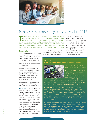

# Businesses carry a lighter tax load in 2018

The Tax Cuts and Jobs Act (TCJA) will help reduce the 2018 tax burdens of many businesses and their owners. For C corporations, it replaces graduated rates ranging from 15% to 35% with a flat rate of 21%. For sole propriet he Tax Cuts and Jobs Act (TCJA) will help reduce the 2018 tax burdens of many businesses and their owners. For C corporations, it replaces graduated rates ranging from 15% to 35% with a flat rate of 21%. For sole proprietors types, it enhances many depreciation-related breaks. But the TCJA also reduces or eliminates some tax breaks for businesses. It's critical to work with your tax advisor to determine exactly how your business will be affected so you can plan accordingly.

#### **Depreciation**

For assets with a useful life of more than one year, you generally must depreciate the cost over a period of years. In most cases, the Modified Accelerated Cost Recovery System (MACRS) will be preferable to other methods because you'll get larger deductions in the early years of an asset's life.

But if you make more than 40% of the year's asset purchases in the last quarter, you could be subject to the typically less favorable midquarter convention. Careful planning can help you maximize depreciation deductions in the year of purchase.

Other depreciation-related breaks and strategies may be available and, in many cases, have been enhanced by the TCJA:

#### *Enhancement!* Section 179 expensing

election. This allows you to deduct (rather than depreciate over a number of years) the cost of purchasing eligible new or used assets, such as equipment, furniture, off-the-shelf computer software, and qualified improvement property — a definition expanded by the TCJA from leasehold-improvement, restaurant and retail-improvement property. The TCJA also allows Sec. 179 expensing for certain depreciable tangible personal property used predominantly to furnish lodging and for the following improvements

to nonresidential real property: roofs, HVAC equipment, fire protection and alarm systems, and security systems.

Under the TCJA, for qualifying property placed in service in tax years starting in 2018, the expensing limit increases to \$1 million (from \$510,000 for 2017). The break begins to phase out dollar for dollar when asset acquisitions for the year exceed \$2.5 million (compared to \$2.03 million for 2017). These amounts will be annually indexed for inflation going forward.

#### WHAT'S NEW!

#### New law ushers in hefty tax cuts for corporations



The TCJA will substantially impact C corporations, mostly to their benefit:

New 21% corporate tax rate. Under pre-TCJA law, C corporations paid federal income tax at graduated rates of 15% on taxable income of \$0 to \$50,000; 25% on taxable income of

\$50,001 to \$75,000; 34% on taxable income of \$75,001 to \$10 million; and 35% on taxable income over \$10 million. Personal service corporations (PSCs) paid a flat 35% rate. For tax years starting in 2018 or later, the TCJA sets a flat 21% corporate rate, and that rate also applies to PSCs.

Corporate AMT repealed. Prior to the TCJA, the corporate alternative minimum tax was imposed at a 20% rate. However, corporations with average annual gross receipts of less than \$7.5 million for the preceding three tax years were exempt. For tax years starting in 2018 or later, the new law repeals the corporate AMT. For corporations that paid the corporate AMT in earlier years, an AMT credit was allowed under prior law. The new law allows corporations to fully use their AMT credit carryovers in their 2018–2021 tax years.

But it's not all good news for C corporations: Under pre-TCJA law, C corporations that received dividends from other corporations were entitled to partially deduct those dividends. If the corporation owned at least 20% of the stock of another corporation, an 80% deduction applied. Otherwise, the deduction was 70% of dividends received. For tax years starting in 2018 or later, the TCJA reduces the 80% deduction to 65% and the 70% deduction to 50%.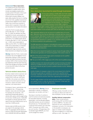#### *Enhancement!* Bonus depreciation.

This additional first-year depreciation is available for qualified assets, which include new tangible property with a recovery period of 20 years or less (such as office furniture and equipment), off-the-shelf computer software, and water utility property. But due to a drafting error in the TCJA, qualified improvement property will be eligible for bonus depre ciation only if a technical correction is issued, which is expected. (Check with your tax advisor for the latest information.)

Under the TCJA, for assets placed in service after Sept. 27, 2017, through Dec. 31, 2026, the definition has been expanded to include *used* property and qualified film, television and live theatrical productions. For qualified assets placed in service after Sept. 27, 2017, but before Jan. 1, 2023, bonus depreciation is 100% (up from 50%). For 2023 through 2026, bonus depreciation is scheduled to be gradually reduced. For certain property with longer production periods, these reductions are delayed by one year.

*Warning:* Under the TCJA, in some cases a business may not be eligible for bonus depreciation starting in 2018. Examples include real estate businesses that elect to deduct 100% of their business interest and dealerships with floor-plan financing, if they have average annual gross receipts of more than \$25 million for the three previous tax years.

#### Vehicle-related deductions

Business-related vehicle expenses can be deducted using the mileage-rate method (54.5 cents per mile driven in 2018) or the actual-cost method (total out-of-pocket expenses for fuel, insurance, repairs and other vehicle expenses, plus depreciation).

Purchases of *new* or *used* vehicles may be eligible for Sec. 179 expensing. However, many rules and limits apply. For example, the normal Sec. 179 expensing limit generally applies to vehicles with a gross vehicle weight rating of more than 14,000 pounds. A \$25,000 limit applies to vehicles (typically SUVs) rated at more than 6,000 pounds, but no more than 14,000 pounds.

Vehicles rated at 6,000 pounds or less are subject to the passenger vehicle limits. For passenger vehicles placed in service in 2018, the first-year depreciation limit is \$18,000 (\$10,000 plus \$8,000

#### WHAT'S NEW!

New deduction launched for pass-through businesses



For tax years starting in 2018–2025, the TCJA creates a new deduction for owners of pass-through business entities, such as sole proprietorships, partnerships, S corporations and limited liability companies (LLCs) or S corporations for tax purposes. The deduction

generally equals 20% of qualified business income (QBI), subject to limitations that can begin to apply if taxable income exceeds the applicable threshold — \$157,500 or, if married filing jointly, \$315,000. The limits fully apply when taxable income exceeds \$207,500 and \$415,000, respectively.

QBI is generally defined as the net amount of qualified items of income, gain, deduction and loss that are effectively connected with the conduct of a U.S. business. QBI doesn't include certain investment items, reasonable compensation paid to an owner for services rendered to the business, or any guaranteed payments to a partner or LLC member treated as a partner for services rendered to the partnership or LLC.

The QBI deduction isn't allowed in calculating the owner's adjusted gross income, but it reduces taxable income. In effect, it's treated the same as an allowable itemized deduction.

When the income-based limit applies to owners of pass-through entities, the QBI deduction generally can't exceed the greater of the owner's share of:

- 50% of the amount of W-2 wages paid to employees by the qualified business during the tax year, or
- The sum of 25% of W-2 wages plus 2.5% of the cost of qualified property.

Qualified property is the depreciable tangible property (including real estate) owned by a qualified business as of year end and used by the business at any point during the tax year to produce qualified business income. Additional rules apply.

Another limitation for taxpayers subject to the income-based limit is that the QBI deduction generally isn't available for income from specified service businesses. Examples include businesses that involve investment-type services and most professional practices (other than engineering and architecture).

The W-2 wage limitation and the service business limitation don't apply if your taxable income is under the applicable threshold. In that case, you should qualify for the full 20% QBI deduction.

bonus depreciation). *Warning:* If bonus depreciation is elected, no additional depreciation can be taken until Year 7.

Also keep in mind that, if a vehicle is used for business and personal purposes, the associated expenses, including depreciation, must be allocated between deductible business use and nondeduct ible personal use. The depreciation limit is reduced if the business use is less than 100%. If business use is 50% or less, you can't use Sec. 179 expensing or the accelerated regular MACRS; you must use the straight-line method.

#### Employee benefits

Offering a variety of benefits not only can help you attract and retain the best employees, but also may save tax:

Qualified deferred compensation

plans. These include pension, profit-sharing, SEP and 401(k) plans, as well as SIMPLEs. You take a tax deduction for your contributions to employees' accounts. (For information on the benefits to employees, see page 12.) Certain small employers may also be eligible for a credit when setting up a plan. (See page 11.)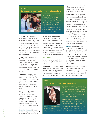#### WHAT'S NEW!

#### Big changes to meals and entertainment deductions



For amounts paid or incurred after Dec. 31, 2017, business-related entertainment expenses are no longer deductible. Meal expenses incurred while traveling on business are still 50% deductible. However, the 50% disallowance rule now also applies to meals provided via an on-premises cafeteria or otherwise on the employer's premises for the convenience of the employer.

HSAs and FSAs. If you provide employees with a qualified highdeductible health plan (HDHP), you can also offer them Health Savings Accounts. Regardless of the type of health insurance you provide, you can offer Flexible Spending Accounts for health care. If you have employees who incur day care expenses, consider offering FSAs for child and dependent care. (See page 4.)

**HRAs.** A Health Reimbursement Account reimburses an employee for medical expenses up to a maximum dollar amount. Unlike an HSA, no HDHP is required. Unlike an FSA, any unused portion can be carried forward to the next year. But only the employer can contribute to an HRA.

Fringe benefits. Certain fringe benefits aren't included in employee income, yet the employer can still deduct the portion, if any, that it pays and typically also avoid payroll taxes. Examples are employee discounts, group term-life insurance (up to \$50,000 per person) and health insurance.

You might even be penalized for not offering health insurance. The play-or-pay provision of the Affordable Care Act (ACA) can in some cases impose a penalty on "large" employers if they don't offer full-time employees "minimum essential coverage" or if the coverage offered is "unaffordable" or doesn't provide "minimum value."

*Deductions eliminated!* Commuting costs and transportation fringe benefits. Employer deductions for the cost of

providing commuting transportation to an employee (such as hiring a car service) are no longer allowed, unless the transportation is necessary for the employee's safety. Also eliminated are employer deductions for the cost of providing qualified employee transportation fringe benefits (for example, parking allowances, mass transit passes and van pooling). However, those benefits are still tax-free to recipient employees.

#### Tax credits

Tax credits reduce tax liability dollar for dollar, making them particularly beneficial:

Research credit. The research credit (often called the "research and development" credit) gives businesses an incentive to step up their investments in research. Certain start-ups (in general, those with less than \$5 million

in gross receipts) can use the credit against their payroll tax. While the credit is complicated to compute, the tax savings can prove significant.

Work Opportunity credit. This credit is designed to encourage hiring from certain disadvantaged groups, such as certain veterans, ex-felons, individuals who've been unemployed for 27 weeks or more and food stamp recipients. Despite its proposed elimination, the credit survived and is available for 2018.

The size of the credit depends on the hired person's target group, the wages paid to that person and the number of hours he or she worked during the first year of employment. The maximum credit is generally \$2,400 per new employee but can be higher for members of certain target groups — up to \$9,600 for certain veterans.

*Warning:* Certification from the appropriate State Workforce Agency generally must be requested within 28 days after the employee begins work.

New Markets credit. This gives investors who make "qualified equity investments" in certain low-income communities a 39% credit over a seven-year period. The credit is scheduled to expire on Dec. 31, 2019.

Retirement plan credit. Small employers (generally those with 100 or fewer employees) that create a retirement plan may be eligible for a \$500 credit per year for three years. The credit is limited to 50% of qualified start-up costs.

#### WHAT'S NEW!



#### The TCJA limits interest expense deduction

Subject to some restrictions and exceptions, under pre-TCJA law interest paid or accrued by a business generally was fully deductible. Under the TCJA, for tax years that begin in 2018 or later, businesses generally can't deduct interest expenses in excess of 30% of "adjusted taxable income."

Taxpayers (other than tax shelters) with average annual gross receipts of \$25 million or less for the three previous tax years are exempt from the interest deduction

limitation. Some other taxpayers are also exempt. For example, real property businesses can elect to continue to fully deduct their interest, but then would be required to use the alternative depreciation system for real property used in the business.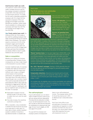#### Small-business health care credit.

The maximum credit is 50% of group health coverage premiums paid by the employer, provided it contributes at least 50% of the total premium or of a benchmark premium. For 2018, the full credit is potentially available for employers with 10 or fewer full-time equivalent employees (FTEs) and average annual wages of less than \$26,600 per employee. Partial credits may be available on a sliding scale to businesses with fewer than 25 FTEs and average annual wages of less than \$53,200.

*New!* Family medical leave credit. For 2018 and 2019, the TCJA creates a tax credit for qualifying employers that begin providing paid family and medical leave to their employees. The credit is equal to a minimum of 12.5% of the employee's wages paid during that leave (up to 12 weeks per year) and can be as much as 25% of wages paid. Ordinary paid leave that employees are already entitled to doesn't qualify. Additional rules and limits apply.

#### Sale or acquisition

Whether you're selling your business or acquiring another company, the tax consequences can have a major impact on the transaction's success or failure.

Consider installment sales, for example. A taxable sale might be structured as an installment sale if the buyer lacks sufficient cash or pays a contingent amount based on the business's performance. An installment sale also may make sense if the seller wishes to spread the gain over a number of years. This could be especially beneficial if it would allow the seller to stay under the thresholds for triggering the 3.8% NIIT or the 20% long-term capital gains rate. But an installment sale can backfire on the seller. For example:

- $\blacksquare$  Depreciation recapture must be reported as gain in the year of sale, no matter how much cash the seller receives.
- $\blacksquare$  If tax rates increase, the overall tax could wind up being more.

With a corporation, a key consideration is whether the deal should be structured as an asset sale or a stock sale. If a stock sale is chosen, another important question is whether it should be a tax-deferred transfer or a taxable sale.

#### WHAT'S NEW!

# The TCJA reduces and eliminates some business tax breaks



Here are some changes in the TCJA

Section 199 deduction. Commonly referred to as the "domestic production activities deduction" or "manufacturers' deduction," this break is eliminated for tax years beginning after Dec. 31, 2017.

Business net operating losses (NOLs). For NOLs that arise in tax years *starting* after Dec. 31, 2017, the maximum amount of taxable

income that can be offset with NOL deductions is generally reduced from 100% to 80%. In addition, NOLs incurred in tax years *ending* after Dec. 31, 2017, generally can't be carried back to an earlier tax year but can be carried forward indefinitely (as opposed to the 20-year limit under pre-TCJA law). (The differences between the effective dates for these changes may have been a mistake, and a technical correction might be made by Congress. Check with your tax advisor for the latest information.)

"Excess" business losses. For tax years beginning in 2018–2025, a new limit applies to deductions for current-year business losses incurred by noncorporate taxpayers: Such losses generally can't offset more than \$250,000 of income from other sources, such as salary, self-employment income, interest, dividends and capital gains. The limit is \$500,000 for a married couple filing jointly. Disallowed losses are carried forward to later tax years and can then be deducted under the NOL rules.

Sec. 1031 "like-kind" exchanges. Starting in 2018, generally there are no more tax-deferred like-kind exchanges for personal property assets; only real estate qualifies.

Compensation deductions. Deductions for amounts paid to principal executive officers generally can't exceed \$1 million per year, subject to a transition rule for amounts paid under binding contracts in effect as of Nov. 2, 2017.

On a positive note, the eligibility rules to use the more-flexible cash method of accounting are liberalized to make them available to many more medium-size businesses. Also, eligible businesses are excused from the chore of doing inventory accounting for tax purposes.

#### The self-employed

If you're self-employed, you can deduct 100% of health insurance costs for yourself, your spouse and your dependents. This above-the-line deduction is limited to your net self-employment income. You also can take an above-the-line deduction for contributions to a retirement plan (see page 12) and, if you're eligible, an HSA (see page 3) for yourself.

You pay both the employee and employer portions of employment

taxes on your self-employment income. The employer portion (6.2% for Social Security tax and 1.45% for Medicare tax) is deductible above the line.

And if your home office is your principal place of business (or used substantially and regularly to conduct business) and that's the only use of the space, you may be able to deduct home office expenses from your self-employment income. ◆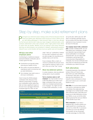

# Step by step, make solid retirement plans

make "catch-up" contributions, however. So if you didn't contribute much when you were younger, this may allow you to partially make up for lost time.

If your employer offers a match, at *minimum* contribute the amount necessary to get the maximum match so you don't miss out on that "free" money.

More tax-deferred options In certain situations, other tax-deferred saving options may be available:

You're a business owner or selfemployed. You may be able to set up a plan that allows you to make much larger contributions than you could make to an employer-sponsored plan as an employee. You might not have to make 2018 contributions, or even

**Planning for your retirement means making a series of financial decisions that will impact your golden years. What type of plans should you invest in? When should you start taking withdrawals? In what amounts? Keep in min** impact your golden years: What type of plans should you invest in? When should the Tax Cuts and Jobs Act didn't make any major changes to retirement plans, some provisions detrimental to them were proposed, which might portend future efforts to restrict their tax benefits. Whether you're just starting to think about retirement planning, are retired already or are somewhere in between, addressing the questions relevant to your current situation will help ensure your golden years are truly golden.

#### 401(k)s and other employer plans

Contributing to a traditional employersponsored defined contribution plan is usually a good first step:

- $\blacksquare$  Contributions are typically pretax. reducing your taxable income.
- Plan assets can grow tax-deferred meaning you pay no income tax until you take distributions.
- Your employer may match some or all of your contributions.

Chart 3 shows the 2018 employee contribution limits. Because of taxdeferred compounding, increasing your contributions sooner rather than later can have a significant impact on the size of your nest egg at retirement. Employees age 50 or older can also

#### CHART 3

|  | <b>Retirement plan contribution limits for 2018</b> |  |
|--|-----------------------------------------------------|--|
|  |                                                     |  |

|                                                          | <b>Regular contribution</b> | Catch-up contribution <sup>1</sup> |
|----------------------------------------------------------|-----------------------------|------------------------------------|
| Traditional and Roth IRAs                                | \$5.500                     | \$1,000                            |
| $401(k)s$ , $403(b)s$ ,<br>457s and SARSEPs <sup>2</sup> | \$18,500                    | \$6,000                            |
| <b>SIMPLES</b>                                           | \$12,500                    | \$3,000                            |
|                                                          |                             |                                    |

*<i>faxpayers age 50 or older by the* 

 *Includes Roth versions where applicable.*

*Note: Other factors may further limit your maximum contribution.*

set up the plan, before year end. SEP plans, for example, generally may be set up as late as the due date (including extensions) of your business's income tax return for that year.

#### Your employer doesn't offer a retirement

**plan.** Consider a traditional IRA. You can likely deduct your contributions, though your deduction may be limited if your spouse participates in an employersponsored plan. You can make 2018 contributions until the April 2019 income-tax-return-filing deadline for individuals. Your annual contribution limit (see Chart 3) is reduced by any Roth IRA contributions you make for the year.

## Roth alternatives

A potential downside of tax-deferred saving is that you'll have to pay taxes when you make withdrawals at retirement. Roth plans, however, allow tax-free distributions; the tradeoff is that contributions to these plans don't reduce your current-year taxable income:

Roth IRAs. An income-based phaseout may reduce or eliminate your ability to contribute. But estate planning advantages are an added benefit: Unlike other retirement plans, Roth IRAs don't require you to take distributions during your lifetime, so you can let the entire balance grow tax-free over your lifetime for the benefit of your heirs.

Roth conversions. If you have a traditional IRA, consider whether you might benefit from converting some or all of it to a Roth IRA. A conversion can allow you to turn tax-*deferred* future growth into tax-*free* growth and take advantage of a Roth IRA's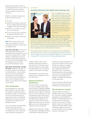estate planning benefits. There's no income-based limit on who can convert to a Roth IRA. But the converted amount is taxable in the year of the conversion.

Whether a conversion makes sense depends on factors such as:

- Your age,
- $\blacksquare$  Whether the conversion would push you into a higher income tax bracket or trigger the 3.8% NIIT (see page 7),
- $\blacksquare$  Whether you can afford to pay the tax on the conversion,
- Your tax bracket now and expected tax bracket in retirement, and
- $\blacksquare$  Whether you'll need the IRA funds in retirement.

*New!* Unlike in prior years, you no longer can change your mind and recharacterize a Roth conversion back to a traditional IRA.

"Back door" Roth IRAs. If the incomebased phaseout prevents you from making Roth IRA contributions and you *don't* have a traditional IRA, consider setting up a traditional account and making a nondeductible contribution to it. You can then immediately convert the traditional account to a Roth account with minimal tax impact.

Roth 401(k), Roth 403(b), and Roth 457 plans. Employers may offer one of these in addition to the traditional, tax-deferred version. You may make some or all of your contributions to the Roth plan, but any employer match will be made to the traditional

plan. No income-based phaseout applies, so even high-income taxpayers can contribute.

#### Early withdrawals

Early withdrawals from retirement plans should be a last resort. With a few exceptions, distributions before age 59½ are subject to a 10% penalty on top of any income tax that ordinarily would be due on a withdrawal. Additionally, you'll lose the potential tax-deferred future growth on the withdrawn amount.

If you must make an early withdrawal and you have a Roth account, consider withdrawing from that. You can withdraw up to your contribution amount without incurring taxes or

#### Case Study II

## Avoiding retirement plan pitfalls when leaving a job



Lauren and Megan both change jobs in 2018 and decide to roll over funds from their traditional 401(k) plans with their former employers to traditional IRAs so that they'll have more investment choices. Each has a balance of \$100,000. Lauren requests a direct rollover from her old plan to her IRA. Because she never personally receives the funds, she owes no income tax or penalties.

Megan, however, doesn't request a direct rollover. Instead, she receives

a lump-sum check. Much to her surprise, the check is for only \$80,000, because her employer withheld 20% for federal income taxes. After consulting with her tax advisor, she learns that she needs to make an indirect rollover to her IRA within 60 days to avoid tax and potential penalties. (She may be able to receive a refund of the \$20,000 withheld when she files her 2018 tax return, depending on her overall tax liability for the year.)

She also learns that if she doesn't roll over the gross amount of \$100,000 which will require her to make up for the withheld amount with other funds she'll be subject to income tax on the \$20,000 difference. And, because she's under age 59½, she'll also owe the 10% early withdrawal penalty.

penalties. Another option: If your employer-sponsored plan allows it, take a plan loan. You'll have to pay it back with interest and make regular principal payments, but you won't be subject to current taxes or penalties.

Early distribution rules also become important if you change jobs or retire. See Case Study II.

#### Required minimum distributions

In the year in which you reach age 70½, you must begin to take annual required minimum distributions (RMDs) from your IRAs (except Roth IRAs) and, generally, from your defined contribution plans. If you don't comply, you can owe a penalty equal to 50% of the amount you should have withdrawn but didn't. (An RMD deferral is allowed for the initial year, but you'll have to take two RMDs the next year.) You can avoid the RMD rule for a non-IRA Roth plan by rolling the funds into a Roth IRA.

Waiting to take distributions until age 70½ generally is advantageous because of tax-deferred compounding. But a

distribution (or larger distribution) in a year your tax bracket is low may save tax. Be sure, however, to consider the lost future tax-deferred growth and, if applicable, whether the distribution could: 1) cause Social Security payments to become taxable, 2) increase income-based Medicare premiums and prescription drug charges, or 3) affect tax breaks with income-based limits.

If you've inherited a retirement plan, consult your tax advisor about the distribution rules that apply to you.

## IRA donations to charity

Taxpayers age 70½ or older are allowed to make direct contributions from their IRA to qualified charitable organizations up to \$100,000 per tax year. A charitable deduction can't be claimed for the contributions. But the amounts aren't included in taxable income and can be used to satisfy an IRA owner's RMD. A direct contribution might be tax-smart if you won't benefit from the charitable deduction. (See page 3.) ◆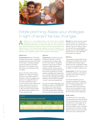

# Estate planning: Assess your strategies in light of recent tax law changes

So difficult as it is, accumulating wealth is only the first step to providing a financially secure future for your family. You also need to develop a comprehensive estate plan. The earlier you begin, the more options you' a financially secure future for your family. You also need to develop a have to grow and transfer your wealth in a way that minimizes taxes and leaves the legacy you desire. Then review your plan regularly to account for changes in your finances, family and tax law. The Tax Cuts and Jobs Act (TCJA) doesn't repeal the estate tax, as was originally proposed, but it still impacts estate planning.

#### Estate tax

*Enhancement!* While the TCJA keeps the estate tax rate at 40%, it doubles the exemption base amount from \$5 million to \$10 million. The inflation-adjusted amount for 2018 is \$11.18 million. (See Chart 4.) The doubled amount will continue to be adjusted annually for inflation.

Keep in mind that, without further legislation, the estate tax exemption will return to an inflation-adjusted \$5 million in 2026. So taxpayers with estates in the roughly \$6 million to \$11 million range (twice that for married couples), whose estates would escape estate taxes if they were to die while the doubled exemption is in effect, still need to keep potential post-2025 estate tax liability in mind in their estate planning.

# Gift tax

#### *Enhancement!* The gift tax continues

to follow the estate tax, so the gift tax exemption also increases under the TCJA. (See Chart 4.) Any gift tax exemption used during your lifetime reduces the estate tax exemption available at death. Using up some of your exemption during your lifetime can be tax-smart, especially if your estate exceeds roughly \$6 million (twice that if you're married). Making tax-free wealth transfers to take advantage of the higher exemption amount before it potentially "sunsets" could save substantial tax.

You also can exclude certain gifts of up to \$15,000 per recipient in 2018 (\$30,000 per recipient if your spouse elects to split the gift with you or you're giving community property) without depleting any of your gift and estate tax exemption.

*Warning:* You need to use your annual exclusion by Dec. 31. The exclusion doesn't carry over from year to year. For example, if you don't make an annual exclusion gift to your granddaughter this year, you can't add \$15,000 to your 2019 exclusion to make a \$30,000 tax-free gift to her next year.

#### GST tax

The generation-skipping (GST) tax generally applies to transfers (both during your lifetime and at death) made to people more than one generation below you, such as your grandchildren. This is in addition to any gift or estate tax due.

*Enhancement!* The GST tax continues to follow the estate tax, so the GST tax exemption also increases under the TCJA. (See Chart 4.)

The GST tax exemption can be a valuable tax-saving tool for taxpayers with large estates whose children also have — or may eventually have large estates. With proper planning, they can use the exemption to make transfers to grandchildren and avoid any tax at their children's generation.

#### CHART 4

#### Transfer tax exemptions and rates

| Year | Estate tax<br>exemption <sup>1</sup>                               | Gift tax<br>exemption                              | <b>GST tax</b><br>exemption | Estate, gift and<br><b>GST tax rate</b> |
|------|--------------------------------------------------------------------|----------------------------------------------------|-----------------------------|-----------------------------------------|
| 2017 |                                                                    | \$ 5.49 million \$ 5.49 million \$ 5.49 million    |                             | 40%                                     |
| 2018 |                                                                    | $$11.18$ million $$11.18$ million $$11.18$ million |                             | 40%                                     |
|      | <sup>1</sup> Less any gift tax exemption already used during life. |                                                    |                             |                                         |

#### State taxes

Even before the TCJA, many states imposed estate tax at a lower threshold than the federal government did. Now the differences in some states will be even more dramatic. To avoid unexpected tax liability or other unintended consequences, it's critical to consider state law. Consult a tax advisor familiar with the law of your particular state.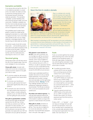#### Exemption portability

If one spouse dies and part (or all) of his or her estate tax exemption is unused at his or her death, the estate can elect to permit the surviving spouse to use the deceased spouse's remaining estate tax exemption. This exemption "portability" provides flexibility at the time of the first spouse's death, but it has some limits. Portability is available only from the most recently deceased spouse, doesn't apply to the GST tax exemption and isn't recognized by many states.

And portability doesn't protect future growth on assets from estate tax like applying the exemption to a credit shelter (or bypass) trust does. Such a trust offers other benefits as well, such as creditor protection, remarriage protection, GST tax planning and state estate tax benefits.

So married couples should still consider these trusts — and transferring assets to each other to the extent necessary to fully fund them at the first death. Transfers to a spouse (during life or at death) are tax-free under the marital deduction, assuming he or she is a U.S. citizen.

# Tax-smart giving

Giving away assets now will help reduce the size of your taxable estate. Here are some strategies for tax-smart giving:

Choose gifts wisely. Consider both estate and income tax consequences and the economic aspects of any gifts you'd like to make:

- To minimize *estate tax*, gift property with the greatest future appreciation potential.
- To minimize *your beneficiary's income tax*, gift property that hasn't appreciated significantly while you've owned it.
- To minimize *your own income tax*, don't gift property that's declined in value. Instead, consider selling the property so you can take the tax loss and then gifting the sale proceeds.

#### Plan gifts to grandchildren carefully.

Annual exclusion gifts are generally exempt from the GST tax, so they also help you preserve your GST tax exemption for other transfers. For gifts to a grandchild that don't qualify for the exclusion to be tax-free, you generally must apply both your GST tax exemption and your gift tax exemption.

#### Case Study III

#### Now's the time to create a dynasty



Ryan is a widower who recently sold the business he'd spent 40 years building. His adult children are successful professionals and he has several grandchildren, with more expected. He'd like to leave a financial legacy for this third generation — and beyond.

Ryan hasn't yet used any of his gift and estate tax exemption, so

his tax advisor suggests he set up a dynasty trust. He decides to transfer \$10 million to it, and there's no gift tax on the transaction because it's within his unused exemption amount. And the funds, together with all future appreciation, are removed from his taxable estate.

Most important, by allocating his GST tax exemption to his trust contributions, he ensures that any future distributions or other transfers of trust assets to his grandchildren or subsequent generations will avoid GST taxes. This is true even if the value of the assets grows well beyond the exemption amount or the exemption is reduced in the future.

#### Gift interests in your business or

an FLP. If you own a business, you can leverage your gift tax exclusions and exemption by gifting ownership interests, which may be eligible for valuation discounts. So, for example, if the combined discount is 25%, in 2018 you can gift an ownership interest equal to as much as \$20,000 tax-free because the discounted value doesn't exceed the \$15,000 annual exclusion.

Another way to potentially benefit from valuation discounts is to set up a family limited partnership. You fund the FLP with assets such as public or private stock and real estate, and then gift limited partnership interests. *Warning:* The IRS may challenge valuation discounts; a professional, independent valuation is recommended. The IRS also scrutinizes FLPs, so be sure to properly set up and operate yours.

Pay tuition and medical expenses. You may pay these expenses without the payment being treated as a taxable gift to the student or patient, as long as the payment is made directly to the provider.

Make gifts to charity. Donations to qualified charities aren't subject to gift tax. They may also be eligible for an income tax deduction, but this deduction may benefit fewer taxpayers than in the past. (See page 3.)

#### **Trusts**

Trusts can provide significant tax savings while preserving some control over what happens to the transferred assets. For those with large estates, funding them now, while the gift tax exemption is high, may be particularly tax-smart. Here are some trusts to consider:

- A *qualified terminable interest property (QTIP) trust* can benefit first a surviving spouse and then children from a prior marriage.
- n A *qualified personal residence trust (QPRT)* allows you to give your home to your children today removing it from your taxable estate at a reduced gift tax cost (provided you survive the trust's term) — while you retain the right to live in it for a certain period.
- n A *grantor-retained annuity trust (GRAT)* works on the same principle as a QPRT, but allows you to transfer other assets; you receive payments back from the trust for a certain period.

Finally, a GST — or "dynasty" — trust can help you leverage both your gift and GST tax exemptions. And it can be an excellent way to potentially lock in the currently high exemptions while removing future appreciation from your estate. See Case Study III. ❖